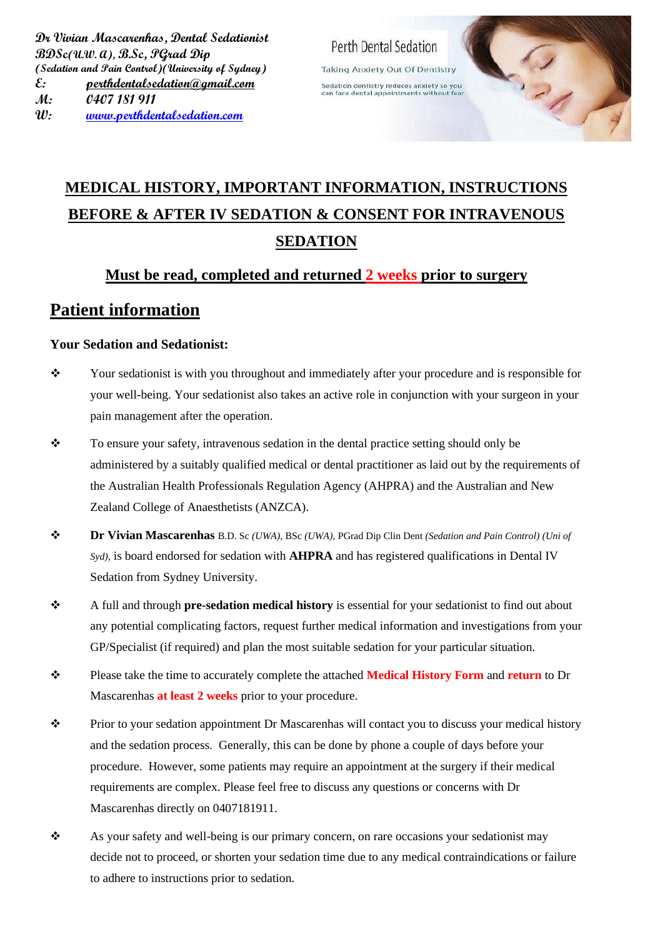Perth Dental Sedation **Taking Anxiety Out Of Dentistry** Sedation dentistry reduces anxiety so you<br>can face dental appointments without fear

# **MEDICAL HISTORY, IMPORTANT INFORMATION, INSTRUCTIONS BEFORE & AFTER IV SEDATION & CONSENT FOR INTRAVENOUS SEDATION**

#### **Must be read, completed and returned 2 weeks prior to surgery**

## **Patient information**

#### **Your Sedation and Sedationist:**

- ❖ Your sedationist is with you throughout and immediately after your procedure and is responsible for your well-being. Your sedationist also takes an active role in conjunction with your surgeon in your pain management after the operation.
- ❖ To ensure your safety, intravenous sedation in the dental practice setting should only be administered by a suitably qualified medical or dental practitioner as laid out by the requirements of the Australian Health Professionals Regulation Agency (AHPRA) and the Australian and New Zealand College of Anaesthetists (ANZCA).
- ❖ **Dr Vivian Mascarenhas** B.D. Sc *(UWA),* BSc *(UWA),* PGrad Dip Clin Dent *(Sedation and Pain Control) (Uni of Syd)*, is board endorsed for sedation with **AHPRA** and has registered qualifications in Dental IV Sedation from Sydney University.
- ❖ A full and through **pre-sedation medical history** is essential for your sedationist to find out about any potential complicating factors, request further medical information and investigations from your GP/Specialist (if required) and plan the most suitable sedation for your particular situation.
- ❖ Please take the time to accurately complete the attached **Medical History Form** and **return** to Dr Mascarenhas **at least 2 weeks** prior to your procedure.
- ❖ Prior to your sedation appointment Dr Mascarenhas will contact you to discuss your medical history and the sedation process. Generally, this can be done by phone a couple of days before your procedure. However, some patients may require an appointment at the surgery if their medical requirements are complex. Please feel free to discuss any questions or concerns with Dr Mascarenhas directly on 0407181911.
- ❖ As your safety and well-being is our primary concern, on rare occasions your sedationist may decide not to proceed, or shorten your sedation time due to any medical contraindications or failure to adhere to instructions prior to sedation.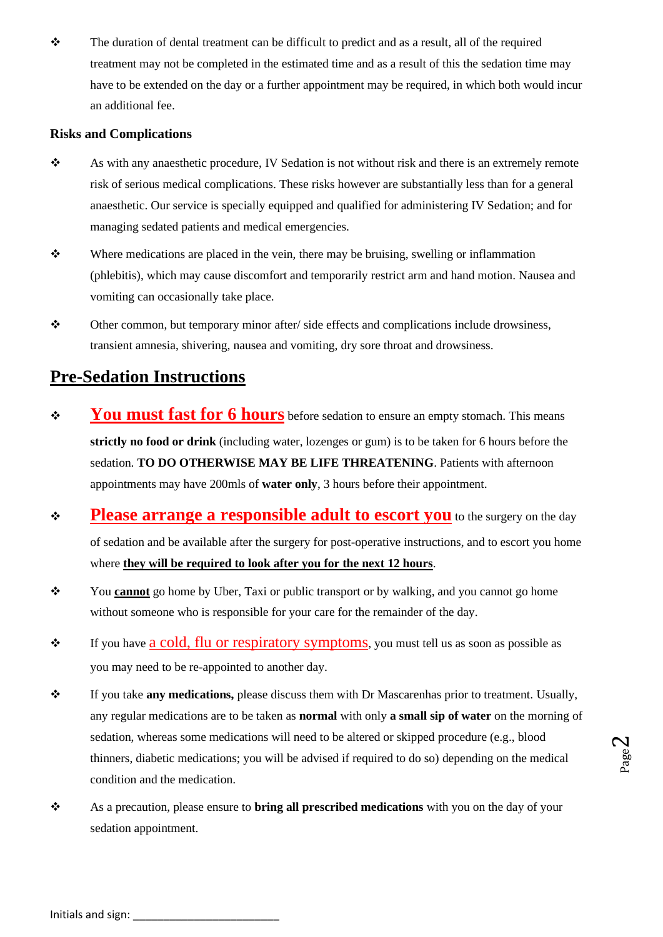❖ The duration of dental treatment can be difficult to predict and as a result, all of the required treatment may not be completed in the estimated time and as a result of this the sedation time may have to be extended on the day or a further appointment may be required, in which both would incur an additional fee.

#### **Risks and Complications**

- ❖ As with any anaesthetic procedure, IV Sedation is not without risk and there is an extremely remote risk of serious medical complications. These risks however are substantially less than for a general anaesthetic. Our service is specially equipped and qualified for administering IV Sedation; and for managing sedated patients and medical emergencies.
- ❖ Where medications are placed in the vein, there may be bruising, swelling or inflammation (phlebitis), which may cause discomfort and temporarily restrict arm and hand motion. Nausea and vomiting can occasionally take place.
- ❖ Other common, but temporary minor after/ side effects and complications include drowsiness, transient amnesia, shivering, nausea and vomiting, dry sore throat and drowsiness.

# **Pre-Sedation Instructions**

- ❖ **You must fast for 6 hours** before sedation to ensure an empty stomach. This means **strictly no food or drink** (including water, lozenges or gum) is to be taken for 6 hours before the sedation. **TO DO OTHERWISE MAY BE LIFE THREATENING**. Patients with afternoon appointments may have 200mls of **water only**, 3 hours before their appointment.
- ❖ **Please arrange a responsible adult to escort you** to the surgery on the day of sedation and be available after the surgery for post-operative instructions, and to escort you home where **they will be required to look after you for the next 12 hours**.
- ❖ You **cannot** go home by Uber, Taxi or public transport or by walking, and you cannot go home without someone who is responsible for your care for the remainder of the day.
- ❖ If you have a cold, flu or respiratory symptoms, you must tell us as soon as possible as you may need to be re-appointed to another day.
- ❖ If you take **any medications,** please discuss them with Dr Mascarenhas prior to treatment. Usually, any regular medications are to be taken as **normal** with only **a small sip of water** on the morning of sedation, whereas some medications will need to be altered or skipped procedure (e.g., blood thinners, diabetic medications; you will be advised if required to do so) depending on the medical condition and the medication.
- ❖ As a precaution, please ensure to **bring all prescribed medications** with you on the day of your sedation appointment.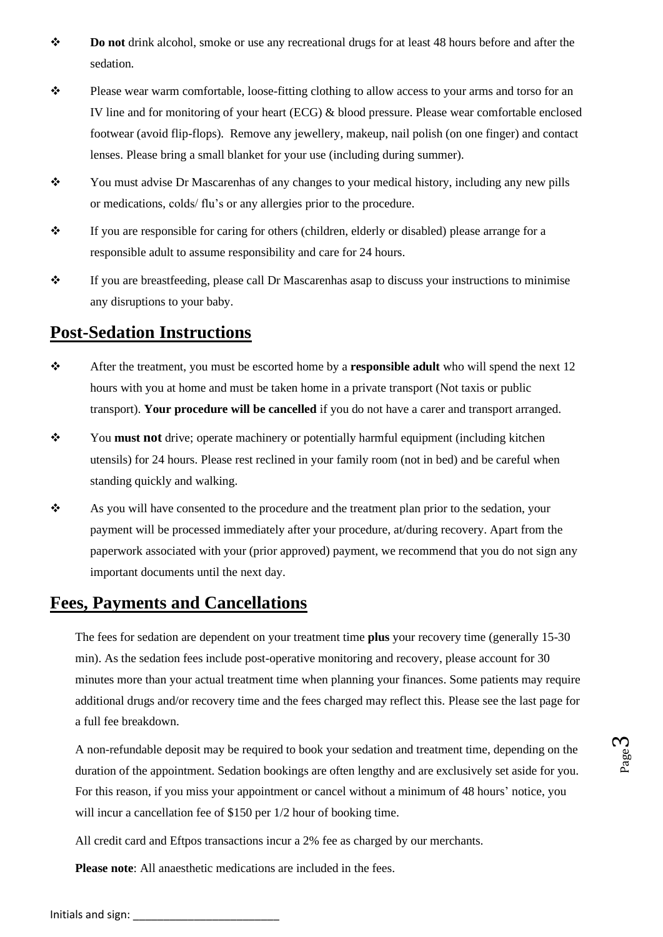- ❖ **Do not** drink alcohol, smoke or use any recreational drugs for at least 48 hours before and after the sedation.
- ❖ Please wear warm comfortable, loose-fitting clothing to allow access to your arms and torso for an IV line and for monitoring of your heart (ECG) & blood pressure. Please wear comfortable enclosed footwear (avoid flip-flops). Remove any jewellery, makeup, nail polish (on one finger) and contact lenses. Please bring a small blanket for your use (including during summer).
- ❖ You must advise Dr Mascarenhas of any changes to your medical history, including any new pills or medications, colds/ flu's or any allergies prior to the procedure.
- ❖ If you are responsible for caring for others (children, elderly or disabled) please arrange for a responsible adult to assume responsibility and care for 24 hours.
- ❖ If you are breastfeeding, please call Dr Mascarenhas asap to discuss your instructions to minimise any disruptions to your baby.

#### **Post-Sedation Instructions**

- ❖ After the treatment, you must be escorted home by a **responsible adult** who will spend the next 12 hours with you at home and must be taken home in a private transport (Not taxis or public transport). **Your procedure will be cancelled** if you do not have a carer and transport arranged.
- ❖ You **must not** drive; operate machinery or potentially harmful equipment (including kitchen utensils) for 24 hours. Please rest reclined in your family room (not in bed) and be careful when standing quickly and walking.
- ❖ As you will have consented to the procedure and the treatment plan prior to the sedation, your payment will be processed immediately after your procedure, at/during recovery. Apart from the paperwork associated with your (prior approved) payment, we recommend that you do not sign any important documents until the next day.

#### **Fees, Payments and Cancellations**

The fees for sedation are dependent on your treatment time **plus** your recovery time (generally 15-30 min). As the sedation fees include post-operative monitoring and recovery, please account for 30 minutes more than your actual treatment time when planning your finances. Some patients may require additional drugs and/or recovery time and the fees charged may reflect this. Please see the last page for a full fee breakdown.

A non-refundable deposit may be required to book your sedation and treatment time, depending on the duration of the appointment. Sedation bookings are often lengthy and are exclusively set aside for you. For this reason, if you miss your appointment or cancel without a minimum of 48 hours' notice, you will incur a cancellation fee of \$150 per  $1/2$  hour of booking time.

All credit card and Eftpos transactions incur a 2% fee as charged by our merchants.

**Please note**: All anaesthetic medications are included in the fees.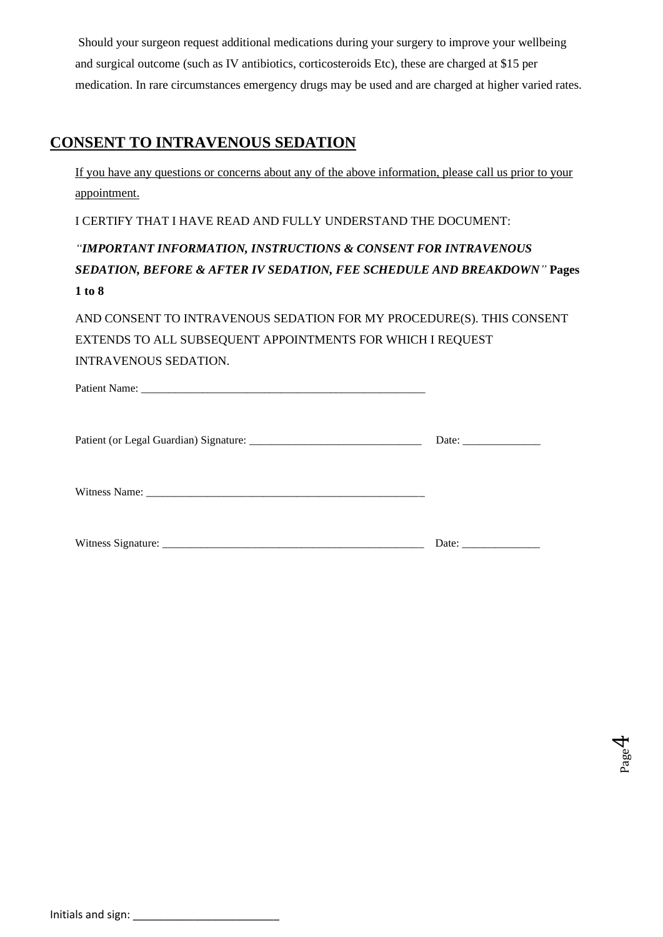Should your surgeon request additional medications during your surgery to improve your wellbeing and surgical outcome (such as IV antibiotics, corticosteroids Etc), these are charged at \$15 per medication. In rare circumstances emergency drugs may be used and are charged at higher varied rates.

## **CONSENT TO INTRAVENOUS SEDATION**

If you have any questions or concerns about any of the above information, please call us prior to your appointment.

I CERTIFY THAT I HAVE READ AND FULLY UNDERSTAND THE DOCUMENT:

*"IMPORTANT INFORMATION, INSTRUCTIONS & CONSENT FOR INTRAVENOUS SEDATION, BEFORE & AFTER IV SEDATION, FEE SCHEDULE AND BREAKDOWN"* **Pages 1 to 8**

AND CONSENT TO INTRAVENOUS SEDATION FOR MY PROCEDURE(S). THIS CONSENT EXTENDS TO ALL SUBSEQUENT APPOINTMENTS FOR WHICH I REQUEST INTRAVENOUS SEDATION.

| Patient<br>мине | _ |  |
|-----------------|---|--|
|                 |   |  |

Patient (or Legal Guardian) Signature: \_\_\_\_\_\_\_\_\_\_\_\_\_\_\_\_\_\_\_\_\_\_\_\_\_\_\_\_\_\_\_ Date: \_\_\_\_\_\_\_\_\_\_\_\_\_\_

Witness Name: \_\_\_\_\_\_\_\_\_\_\_\_\_\_\_\_\_\_\_\_\_\_\_\_\_\_\_\_\_\_\_\_\_\_\_\_\_\_\_\_\_\_\_\_\_\_\_\_\_\_

| Witn.<br>$\sim$<br>-----<br>. .<br>---<br>------ |  |  |
|--------------------------------------------------|--|--|
|--------------------------------------------------|--|--|

Page 4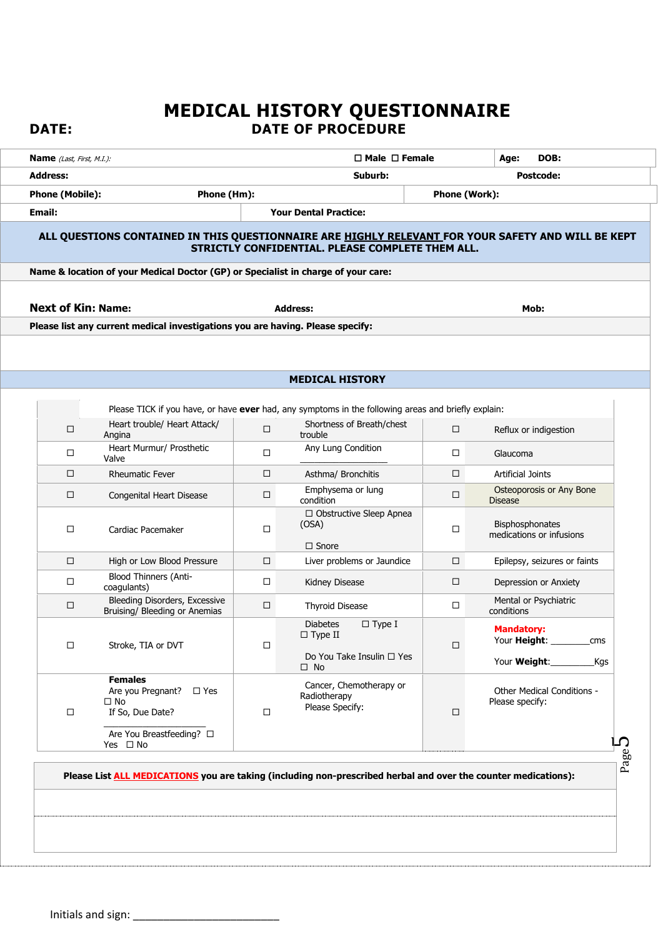# **MEDICAL HISTORY QUESTIONNAIRE DATE: DATE OF PROCEDURE**

|                                                                                                    |             | $\Box$ Male $\Box$ Female                                                                           |        | DOB:<br>Age:                                                           |
|----------------------------------------------------------------------------------------------------|-------------|-----------------------------------------------------------------------------------------------------|--------|------------------------------------------------------------------------|
| <b>Address:</b>                                                                                    |             | Suburb:<br><b>Postcode:</b>                                                                         |        |                                                                        |
| <b>Phone (Mobile):</b>                                                                             | Phone (Hm): | Phone (Work):                                                                                       |        |                                                                        |
| Email:                                                                                             |             | <b>Your Dental Practice:</b>                                                                        |        |                                                                        |
| ALL QUESTIONS CONTAINED IN THIS QUESTIONNAIRE ARE HIGHLY RELEVANT FOR YOUR SAFETY AND WILL BE KEPT |             | STRICTLY CONFIDENTIAL. PLEASE COMPLETE THEM ALL.                                                    |        |                                                                        |
| Name & location of your Medical Doctor (GP) or Specialist in charge of your care:                  |             |                                                                                                     |        |                                                                        |
| <b>Next of Kin: Name:</b>                                                                          |             | <b>Address:</b>                                                                                     |        | Mob:                                                                   |
| Please list any current medical investigations you are having. Please specify:                     |             |                                                                                                     |        |                                                                        |
|                                                                                                    |             | <b>MEDICAL HISTORY</b>                                                                              |        |                                                                        |
|                                                                                                    |             | Please TICK if you have, or have ever had, any symptoms in the following areas and briefly explain: |        |                                                                        |
| Heart trouble/ Heart Attack/<br>□<br>Angina                                                        | $\Box$      | Shortness of Breath/chest<br>trouble                                                                | □      | Reflux or indigestion                                                  |
| Heart Murmur/ Prosthetic<br>□<br>Valve                                                             | $\Box$      | Any Lung Condition                                                                                  | □      | Glaucoma                                                               |
| □<br><b>Rheumatic Fever</b>                                                                        | $\Box$      | Asthma/ Bronchitis                                                                                  | □      | <b>Artificial Joints</b>                                               |
| $\Box$<br>Congenital Heart Disease                                                                 | $\Box$      | Emphysema or lung<br>condition                                                                      | $\Box$ | Osteoporosis or Any Bone<br><b>Disease</b>                             |
| Cardiac Pacemaker<br>□                                                                             | $\Box$      | □ Obstructive Sleep Apnea<br>(OSA)<br>$\Box$ Snore                                                  | □      | Bisphosphonates<br>medications or infusions                            |
| □<br>High or Low Blood Pressure                                                                    | □           | Liver problems or Jaundice                                                                          | □      | Epilepsy, seizures or faints                                           |
| <b>Blood Thinners (Anti-</b><br>$\Box$<br>coagulants)                                              | $\Box$      | Kidney Disease                                                                                      | □      | Depression or Anxiety                                                  |
| Bleeding Disorders, Excessive<br>□<br>Bruising/ Bleeding or Anemias                                | $\Box$      | <b>Thyroid Disease</b>                                                                              | □      | Mental or Psychiatric<br>conditions                                    |
| Stroke, TIA or DVT<br>□                                                                            | □           | $\square$ Type I<br><b>Diabetes</b><br>$\Box$ Type II<br>Do You Take Insulin □ Yes<br>$\Box$ No     | П      | <b>Mandatory:</b><br>Your <b>Height:</b><br>cms<br>Your Weight:<br>Kgs |
| <b>Females</b><br>Are you Pregnant? □ Yes<br>$\Box$ No                                             | □           | Cancer, Chemotherapy or<br>Radiotherapy<br>Please Specify:                                          | $\Box$ | Other Medical Conditions -<br>Please specify:                          |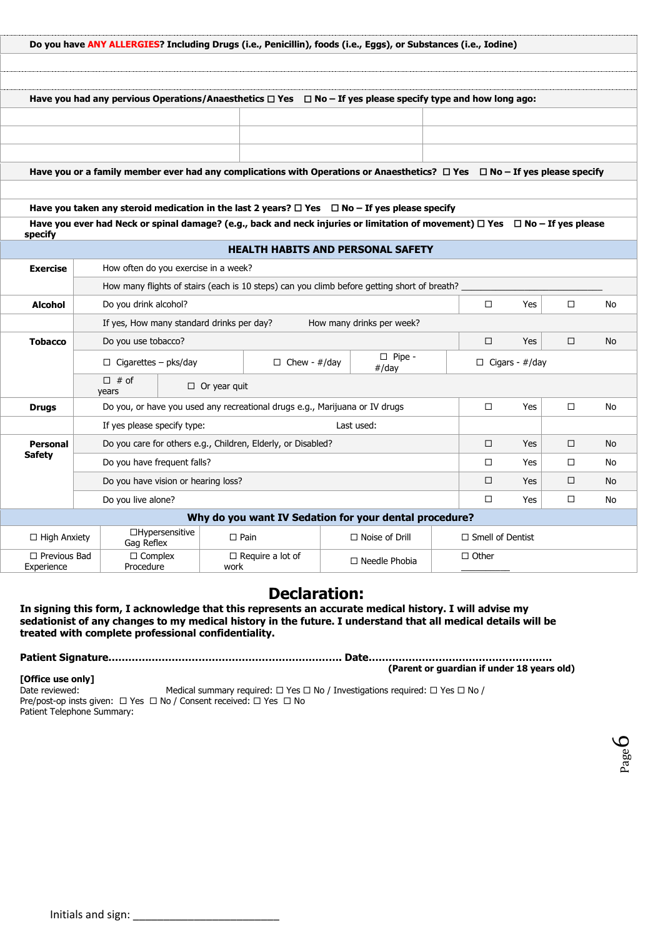|                                   |                                                                                             | Do you have ANY ALLERGIES? Including Drugs (i.e., Penicillin), foods (i.e., Eggs), or Substances (i.e., Iodine)                                                                                                                                   |            |                           |                         |                       |        |    |
|-----------------------------------|---------------------------------------------------------------------------------------------|---------------------------------------------------------------------------------------------------------------------------------------------------------------------------------------------------------------------------------------------------|------------|---------------------------|-------------------------|-----------------------|--------|----|
|                                   |                                                                                             |                                                                                                                                                                                                                                                   |            |                           |                         |                       |        |    |
|                                   |                                                                                             |                                                                                                                                                                                                                                                   |            |                           |                         |                       |        |    |
|                                   |                                                                                             | Have you had any pervious Operations/Anaesthetics $\Box$ Yes $\Box$ No – If yes please specify type and how long ago:                                                                                                                             |            |                           |                         |                       |        |    |
|                                   |                                                                                             |                                                                                                                                                                                                                                                   |            |                           |                         |                       |        |    |
|                                   |                                                                                             |                                                                                                                                                                                                                                                   |            |                           |                         |                       |        |    |
|                                   |                                                                                             |                                                                                                                                                                                                                                                   |            |                           |                         |                       |        |    |
|                                   |                                                                                             | Have you or a family member ever had any complications with Operations or Anaesthetics? □ Yes □ No-If yes please specify                                                                                                                          |            |                           |                         |                       |        |    |
|                                   |                                                                                             |                                                                                                                                                                                                                                                   |            |                           |                         |                       |        |    |
|                                   |                                                                                             | Have you taken any steroid medication in the last 2 years? $\Box$ Yes $\Box$ No - If yes please specify<br>Have you ever had Neck or spinal damage? (e.g., back and neck injuries or limitation of movement) $\Box$ Yes $\Box$ No - If yes please |            |                           |                         |                       |        |    |
| specify                           |                                                                                             |                                                                                                                                                                                                                                                   |            |                           |                         |                       |        |    |
|                                   |                                                                                             | <b>HEALTH HABITS AND PERSONAL SAFETY</b>                                                                                                                                                                                                          |            |                           |                         |                       |        |    |
| <b>Exercise</b>                   | How often do you exercise in a week?                                                        |                                                                                                                                                                                                                                                   |            |                           |                         |                       |        |    |
|                                   | How many flights of stairs (each is 10 steps) can you climb before getting short of breath? |                                                                                                                                                                                                                                                   |            |                           |                         |                       |        |    |
| <b>Alcohol</b>                    | $\Box$<br>Do you drink alcohol?<br>□<br>Yes<br>No                                           |                                                                                                                                                                                                                                                   |            |                           |                         |                       |        |    |
|                                   | How many drinks per week?<br>If yes, How many standard drinks per day?                      |                                                                                                                                                                                                                                                   |            |                           |                         |                       |        |    |
| <b>Tobacco</b>                    | Do you use tobacco?                                                                         |                                                                                                                                                                                                                                                   |            |                           | □                       | Yes                   | □      | No |
|                                   | $\Box$ Cigarettes – pks/day                                                                 | $\Box$ Chew - #/day                                                                                                                                                                                                                               |            | $\square$ Pipe -<br>#/day |                         | $\Box$ Cigars - #/day |        |    |
|                                   | $\Box$ # of<br>years                                                                        | $\Box$ Or year quit                                                                                                                                                                                                                               |            |                           |                         |                       |        |    |
| <b>Drugs</b>                      |                                                                                             | Do you, or have you used any recreational drugs e.g., Marijuana or IV drugs                                                                                                                                                                       |            |                           | $\Box$                  | Yes                   | □      | No |
|                                   | If yes please specify type:                                                                 |                                                                                                                                                                                                                                                   | Last used: |                           |                         |                       |        |    |
| <b>Personal</b>                   |                                                                                             | Do you care for others e.g., Children, Elderly, or Disabled?                                                                                                                                                                                      |            |                           | □                       | Yes                   | □      | No |
| <b>Safety</b>                     | Do you have frequent falls?                                                                 |                                                                                                                                                                                                                                                   |            |                           | $\Box$                  | Yes                   | $\Box$ | No |
|                                   | Do you have vision or hearing loss?                                                         |                                                                                                                                                                                                                                                   |            |                           | □                       | Yes                   | $\Box$ | No |
|                                   | Do you live alone?                                                                          |                                                                                                                                                                                                                                                   |            |                           | $\Box$                  | Yes                   | $\Box$ | No |
|                                   |                                                                                             | Why do you want IV Sedation for your dental procedure?                                                                                                                                                                                            |            |                           |                         |                       |        |    |
| $\Box$ High Anxiety               | □Hypersensitive<br>Gag Reflex                                                               | $\square$ Pain                                                                                                                                                                                                                                    |            | $\Box$ Noise of Drill     | $\Box$ Smell of Dentist |                       |        |    |
| $\Box$ Previous Bad<br>Experience | $\Box$ Complex<br>Procedure                                                                 | $\Box$ Require a lot of<br>work                                                                                                                                                                                                                   |            | $\Box$ Needle Phobia      | $\Box$ Other            |                       |        |    |

### **Declaration:**

**In signing this form, I acknowledge that this represents an accurate medical history. I will advise my sedationist of any changes to my medical history in the future. I understand that all medical details will be treated with complete professional confidentiality.** 

**Patient Signature……………………………………………………………. Date………………………………………………. (Parent or guardian if under 18 years old) [Office use only]** Medical summary required:  $\Box$  Yes  $\Box$  No / Investigations required:  $\Box$  Yes  $\Box$  No / Pre/post-op insts given:  $\Box$  Yes  $\Box$  No / Consent received:  $\Box$  Yes  $\Box$  No Patient Telephone Summary:

 $\overline{\phantom{a}}$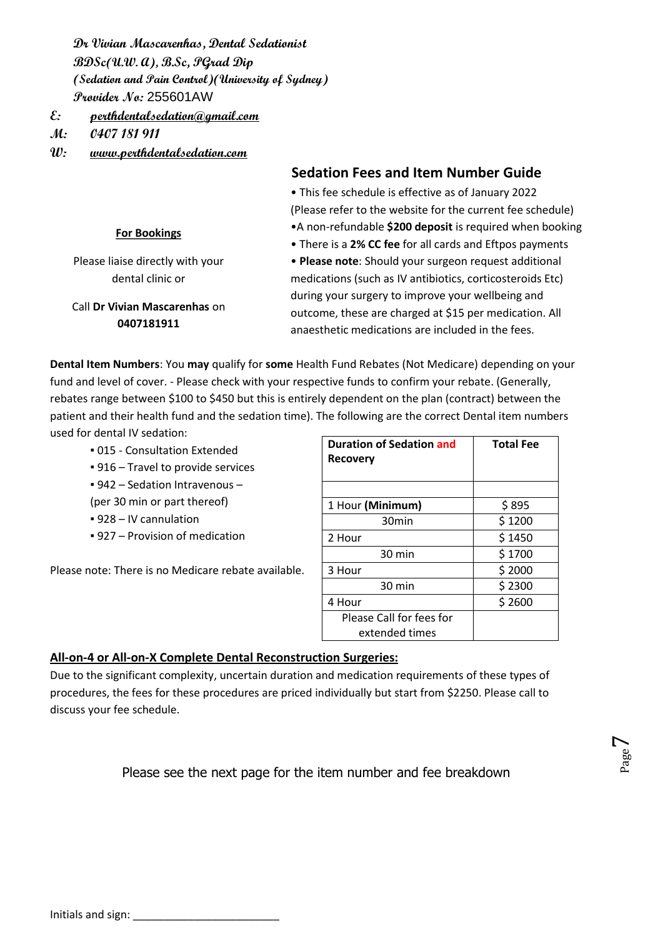**Dr Vivian Mascarenhas, Dental Sedationist BDSc(U.W. A), B.Sc, PGrad Dip (Sedation and Pain Control)(University of Sydney) Provider No:** 255601AW

**E: [perthdentalsedation@gmail.com](mailto:perthdentalsedation@gmail.com)**

**M: 0407 181 911**

**W: www.perthdentalsedation.com**

**0407181911**

|                                  | <b>Sedation Fees and Item Number Guide</b>                 |
|----------------------------------|------------------------------------------------------------|
|                                  | • This fee schedule is effective as of January 2022        |
|                                  | (Please refer to the website for the current fee schedule) |
| <b>For Bookings</b>              | •A non-refundable \$200 deposit is required when booking   |
|                                  | • There is a 2% CC fee for all cards and Eftpos payments   |
| Please liaise directly with your | • Please note: Should your surgeon request additional      |
| dental clinic or                 | medications (such as IV antibiotics, corticosteroids Etc)  |
|                                  | during your surgery to improve your wellbeing and          |
| Call Dr Vivian Mascarenhas on    | outcome, these are charged at \$15 per medication. All     |

**Dental Item Numbers**: You **may** qualify for **some** Health Fund Rebates (Not Medicare) depending on your fund and level of cover. - Please check with your respective funds to confirm your rebate. (Generally, rebates range between \$100 to \$450 but this is entirely dependent on the plan (contract) between the patient and their health fund and the sedation time). The following are the correct Dental item numbers used for dental IV sedation:

- 015 Consultation Extended
- 916 Travel to provide services
- 942 Sedation Intravenous –
- (per 30 min or part thereof)
- 928 IV cannulation
- 927 Provision of medication

Please note: There is no Medicare rebate available.

| <b>Duration of Sedation and</b><br><b>Recovery</b> | <b>Total Fee</b> |
|----------------------------------------------------|------------------|
|                                                    |                  |
| 1 Hour (Minimum)                                   | \$895            |
| 30 <sub>min</sub>                                  | \$1200           |
| 2 Hour                                             | \$1450           |
| 30 min                                             | \$1700           |
| 3 Hour                                             | \$2000           |
| 30 min                                             | \$2300           |
| 4 Hour                                             | \$2600           |
| Please Call for fees for                           |                  |
| extended times                                     |                  |

anaesthetic medications are included in the fees.

#### **All-on-4 or All-on-X Complete Dental Reconstruction Surgeries:**

Due to the significant complexity, uncertain duration and medication requirements of these types of procedures, the fees for these procedures are priced individually but start from \$2250. Please call to discuss your fee schedule.

Please see the next page for the item number and fee breakdown